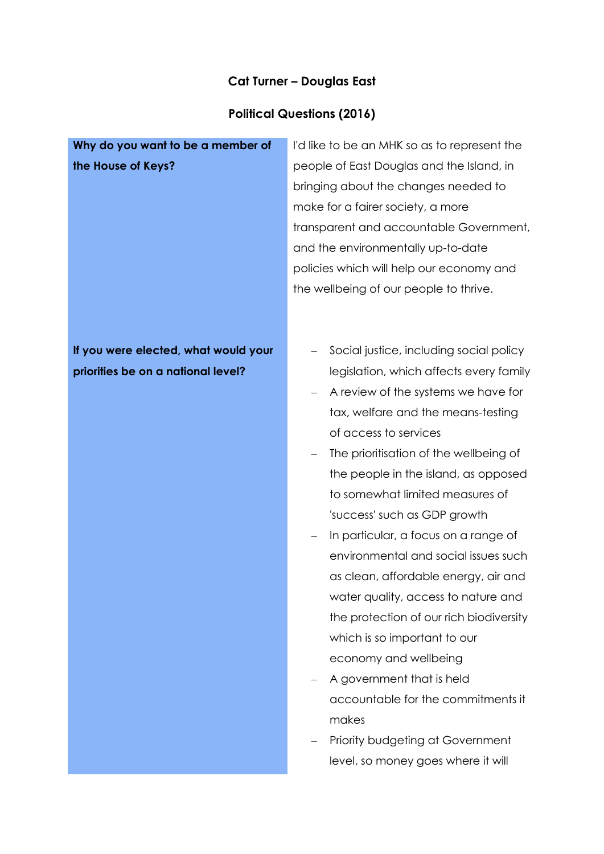#### **Cat Turner – Douglas East**

#### **Political Questions (2016)**

## **Why do you want to be a member of the House of Keys?**

I'd like to be an MHK so as to represent the people of East Douglas and the Island, in bringing about the changes needed to make for a fairer society, a more transparent and accountable Government, and the environmentally up-to-date policies which will help our economy and the wellbeing of our people to thrive.

## **If you were elected, what would your priorities be on a national level?**

- Social justice, including social policy legislation, which affects every family
- A review of the systems we have for tax, welfare and the means-testing of access to services
- The prioritisation of the wellbeing of the people in the island, as opposed to somewhat limited measures of 'success' such as GDP growth
- In particular, a focus on a range of environmental and social issues such as clean, affordable energy, air and water quality, access to nature and the protection of our rich biodiversity which is so important to our economy and wellbeing
- A government that is held accountable for the commitments it makes
- Priority budgeting at Government level, so money goes where it will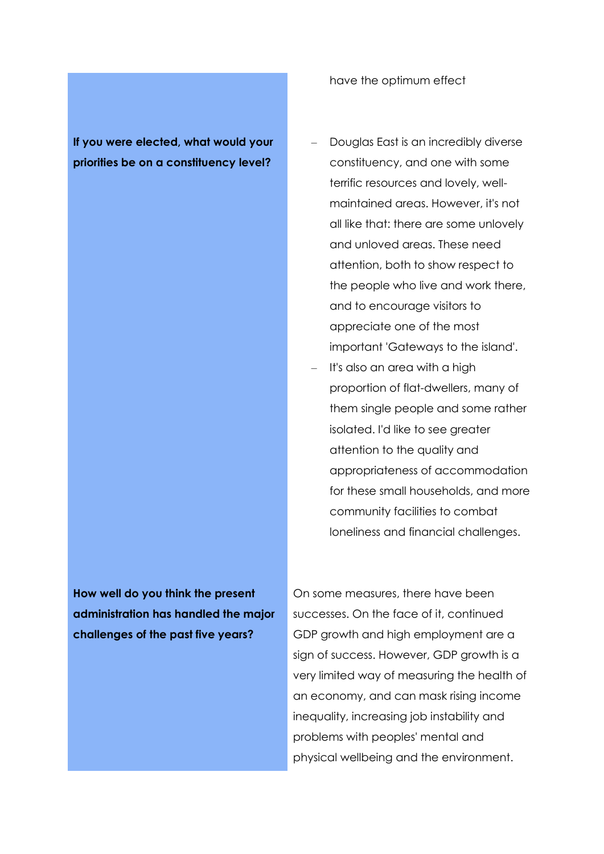**If you were elected, what would your priorities be on a constituency level?**

**How well do you think the present administration has handled the major challenges of the past five years?**

On some measures, there have been successes. On the face of it, continued GDP growth and high employment are a sign of success. However, GDP growth is a very limited way of measuring the health of an economy, and can mask rising income inequality, increasing job instability and problems with peoples' mental and physical wellbeing and the environment.

have the optimum effect

- Douglas East is an incredibly diverse constituency, and one with some terrific resources and lovely, wellmaintained areas. However, it's not all like that: there are some unlovely and unloved areas. These need attention, both to show respect to the people who live and work there, and to encourage visitors to appreciate one of the most important 'Gateways to the island'.
- It's also an area with a high proportion of flat-dwellers, many of them single people and some rather isolated. I'd like to see greater attention to the quality and appropriateness of accommodation for these small households, and more community facilities to combat loneliness and financial challenges.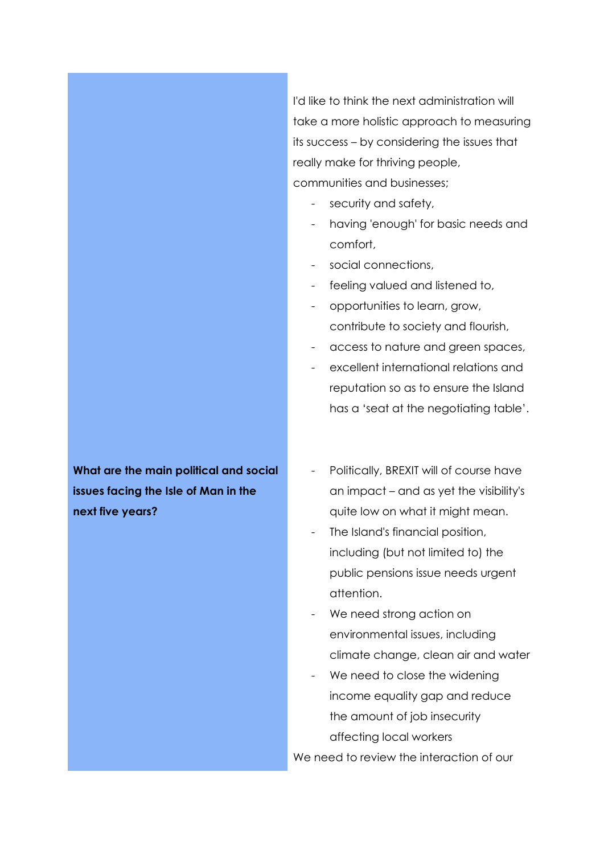I'd like to think the next administration will take a more holistic approach to measuring its success – by considering the issues that really make for thriving people, communities and businesses;

- security and safety,
- having 'enough' for basic needs and comfort,
- social connections,
- feeling valued and listened to,
- opportunities to learn, grow, contribute to society and flourish,
- access to nature and green spaces,
- excellent international relations and reputation so as to ensure the Island has a 'seat at the negotiating table'.

**What are the main political and social issues facing the Isle of Man in the next five years?**

- Politically, BREXIT will of course have an impact – and as yet the visibility's quite low on what it might mean.
- The Island's financial position, including (but not limited to) the public pensions issue needs urgent attention.
- We need strong action on environmental issues, including climate change, clean air and water
- We need to close the widening income equality gap and reduce the amount of job insecurity affecting local workers

We need to review the interaction of our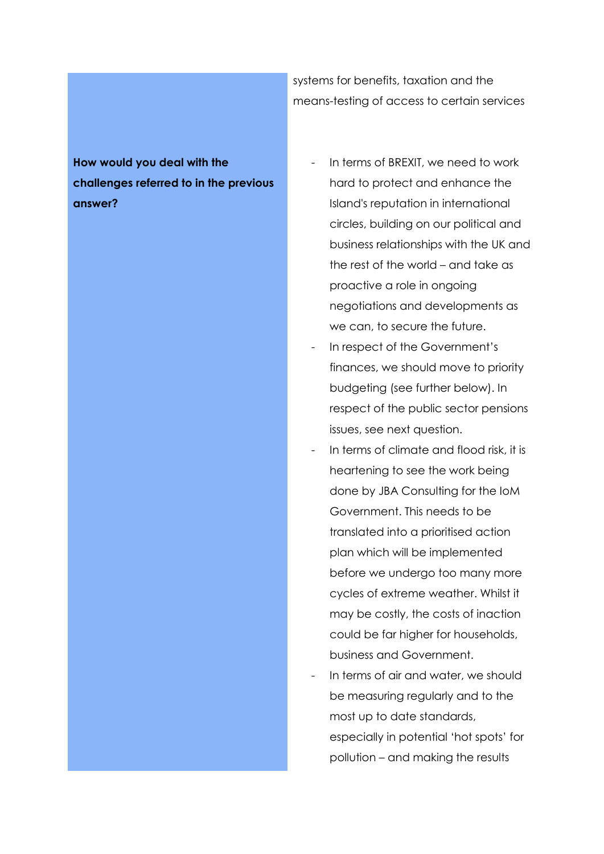systems for benefits, taxation and the means-testing of access to certain services

# **How would you deal with the challenges referred to in the previous answer?**

- In terms of BREXIT, we need to work hard to protect and enhance the Island's reputation in international circles, building on our political and business relationships with the UK and the rest of the world – and take as proactive a role in ongoing negotiations and developments as we can, to secure the future.
- In respect of the Government's finances, we should move to priority budgeting (see further below). In respect of the public sector pensions issues, see next question.
- In terms of climate and flood risk, it is heartening to see the work being done by JBA Consulting for the IoM Government. This needs to be translated into a prioritised action plan which will be implemented before we undergo too many more cycles of extreme weather. Whilst it may be costly, the costs of inaction could be far higher for households, business and Government.
- In terms of air and water, we should be measuring regularly and to the most up to date standards, especially in potential 'hot spots' for pollution – and making the results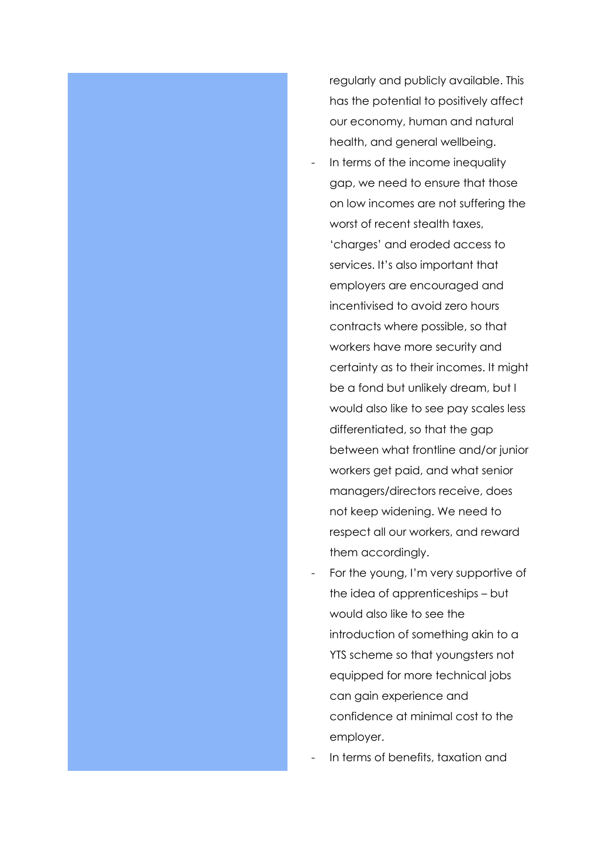

regularly and publicly available. This has the potential to positively affect our economy, human and natural health, and general wellbeing.

- In terms of the income inequality gap, we need to ensure that those on low incomes are not suffering the worst of recent stealth taxes, 'charges' and eroded access to services. It's also important that employers are encouraged and incentivised to avoid zero hours contracts where possible, so that workers have more security and certainty as to their incomes. It might be a fond but unlikely dream, but I would also like to see pay scales less differentiated, so that the gap between what frontline and/or junior workers get paid, and what senior managers/directors receive, does not keep widening. We need to respect all our workers, and reward them accordingly.
- For the young, I'm very supportive of the idea of apprenticeships – but would also like to see the introduction of something akin to a YTS scheme so that youngsters not equipped for more technical jobs can gain experience and confidence at minimal cost to the employer.
- In terms of benefits, taxation and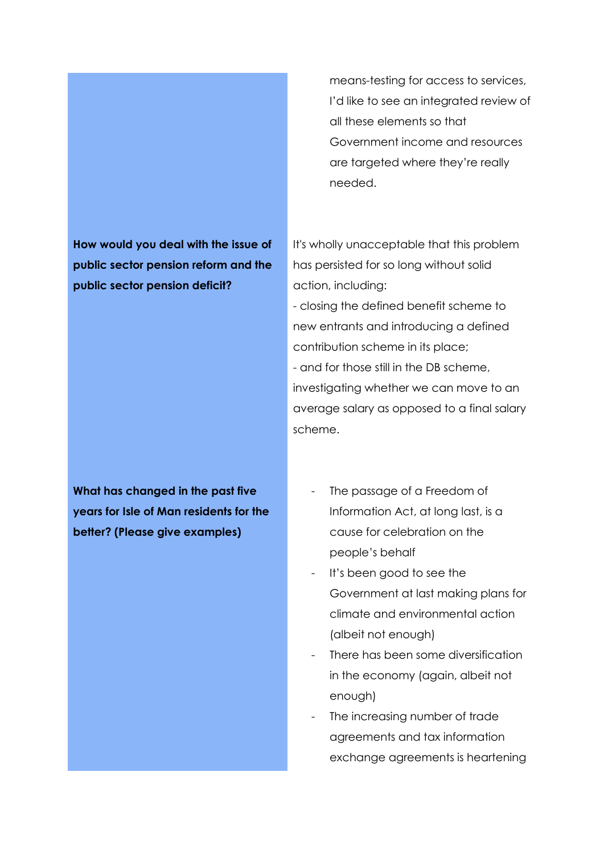**How would you deal with the issue of public sector pension reform and the public sector pension deficit?**

**What has changed in the past five years for Isle of Man residents for the better? (Please give examples)**

means-testing for access to services, I'd like to see an integrated review of all these elements so that Government income and resources are targeted where they're really needed.

It's wholly unacceptable that this problem has persisted for so long without solid action, including:

- closing the defined benefit scheme to new entrants and introducing a defined contribution scheme in its place; - and for those still in the DB scheme, investigating whether we can move to an average salary as opposed to a final salary scheme.

- The passage of a Freedom of Information Act, at long last, is a cause for celebration on the people's behalf
- It's been good to see the Government at last making plans for climate and environmental action (albeit not enough)
- There has been some diversification in the economy (again, albeit not enough)
- The increasing number of trade agreements and tax information exchange agreements is heartening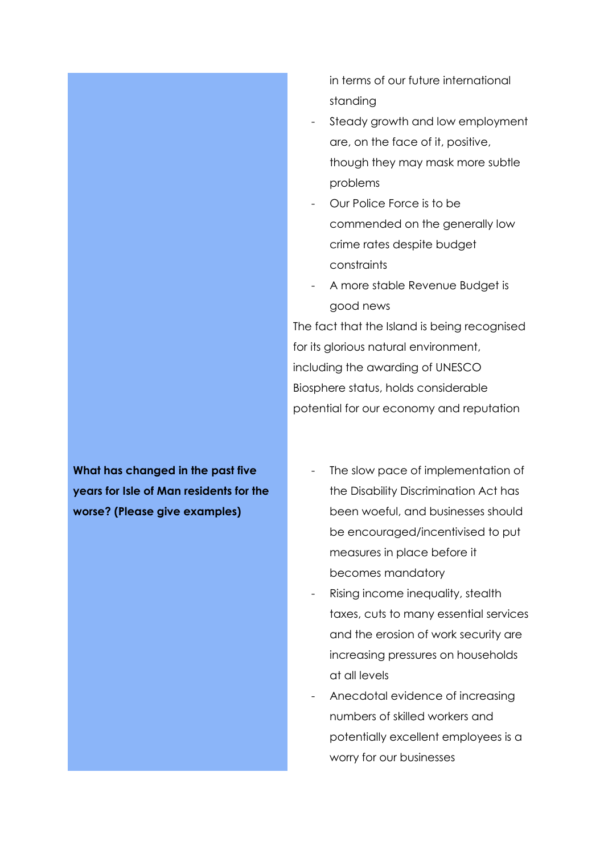in terms of our future international standing

- Steady growth and low employment are, on the face of it, positive, though they may mask more subtle problems
- Our Police Force is to be commended on the generally low crime rates despite budget constraints
- A more stable Revenue Budget is good news

The fact that the Island is being recognised for its glorious natural environment, including the awarding of UNESCO Biosphere status, holds considerable potential for our economy and reputation

**What has changed in the past five years for Isle of Man residents for the worse? (Please give examples)**

- The slow pace of implementation of the Disability Discrimination Act has been woeful, and businesses should be encouraged/incentivised to put measures in place before it becomes mandatory
- Rising income inequality, stealth taxes, cuts to many essential services and the erosion of work security are increasing pressures on households at all levels
- Anecdotal evidence of increasing numbers of skilled workers and potentially excellent employees is a worry for our businesses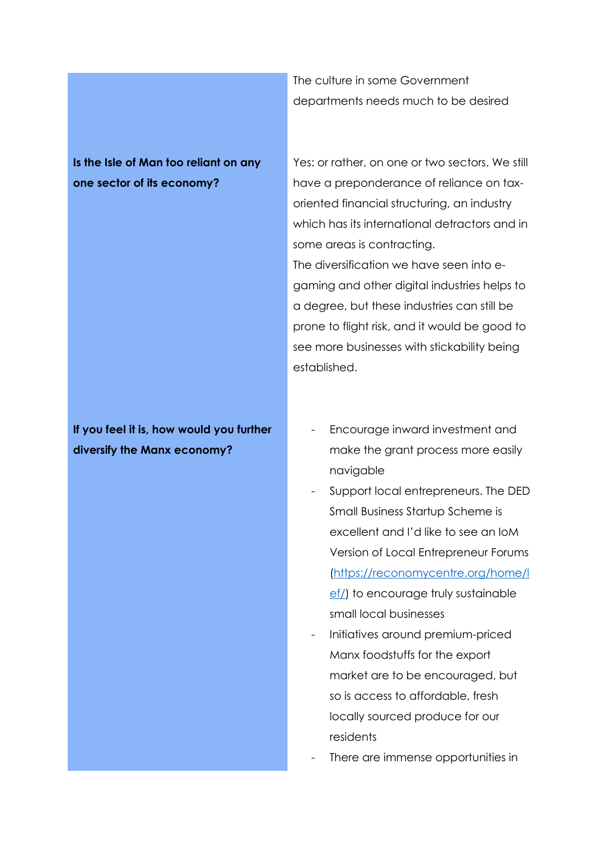**Is the Isle of Man too reliant on any one sector of its economy?** 

**If you feel it is, how would you further diversify the Manx economy?** 

The culture in some Government departments needs much to be desired

Yes: or rather, on one or two sectors. We still have a preponderance of reliance on taxoriented financial structuring, an industry which has its international detractors and in some areas is contracting. The diversification we have seen into egaming and other digital industries helps to a degree, but these industries can still be prone to flight risk, and it would be good to see more businesses with stickability being established.

- Encourage inward investment and make the grant process more easily navigable
- Support local entrepreneurs. The DED Small Business Startup Scheme is excellent and I'd like to see an IoM Version of Local Entrepreneur Forums [\(https://reconomycentre.org/home/l](https://reconomycentre.org/home/lef/) [ef/\)](https://reconomycentre.org/home/lef/) to encourage truly sustainable small local businesses
- Initiatives around premium-priced Manx foodstuffs for the export market are to be encouraged, but so is access to affordable, fresh locally sourced produce for our residents
- There are immense opportunities in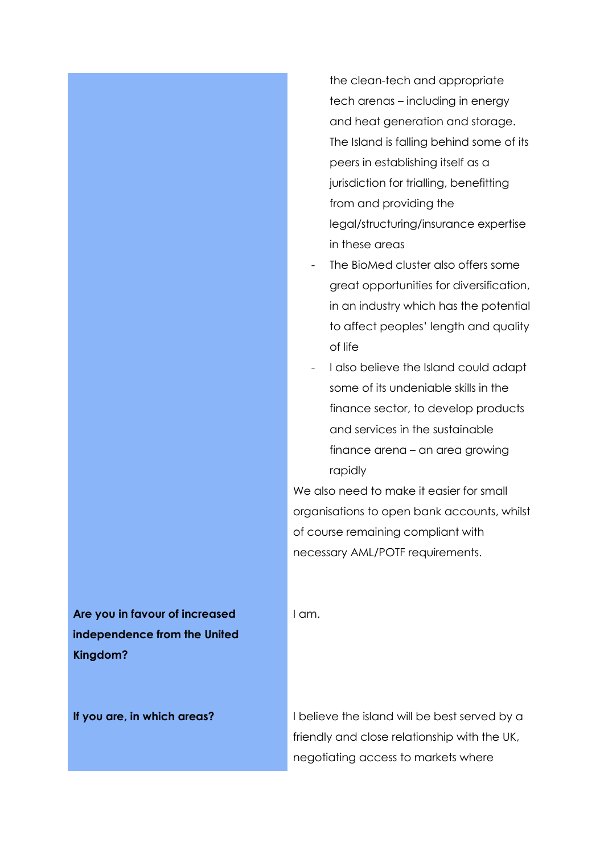the clean-tech and appropriate tech arenas – including in energy and heat generation and storage. The Island is falling behind some of its peers in establishing itself as a jurisdiction for trialling, benefitting from and providing the legal/structuring/insurance expertise in these areas

- The BioMed cluster also offers some great opportunities for diversification, in an industry which has the potential to affect peoples' length and quality of life
- I also believe the Island could adapt some of its undeniable skills in the finance sector, to develop products and services in the sustainable finance arena – an area growing rapidly

We also need to make it easier for small organisations to open bank accounts, whilst of course remaining compliant with necessary AML/POTF requirements.

I am.

**Are you in favour of increased independence from the United Kingdom?**

**If you are, in which areas?** I believe the island will be best served by a friendly and close relationship with the UK, negotiating access to markets where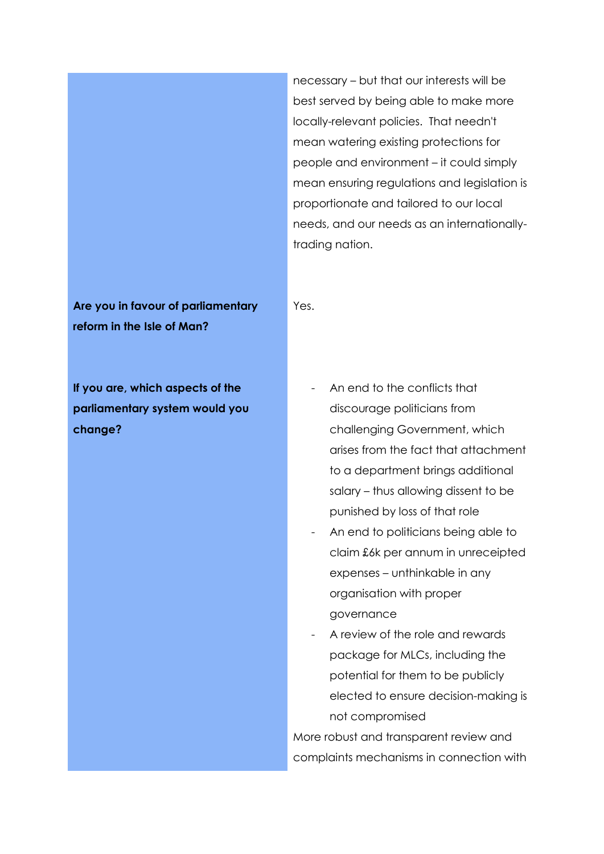necessary – but that our interests will be best served by being able to make more locally-relevant policies. That needn't mean watering existing protections for people and environment – it could simply mean ensuring regulations and legislation is proportionate and tailored to our local needs, and our needs as an internationallytrading nation.

**Are you in favour of parliamentary reform in the Isle of Man?**

Yes.

**If you are, which aspects of the parliamentary system would you change?** 

- An end to the conflicts that discourage politicians from challenging Government, which arises from the fact that attachment to a department brings additional salary – thus allowing dissent to be punished by loss of that role
- An end to politicians being able to claim £6k per annum in unreceipted expenses – unthinkable in any organisation with proper governance
- A review of the role and rewards package for MLCs, including the potential for them to be publicly elected to ensure decision-making is not compromised

More robust and transparent review and complaints mechanisms in connection with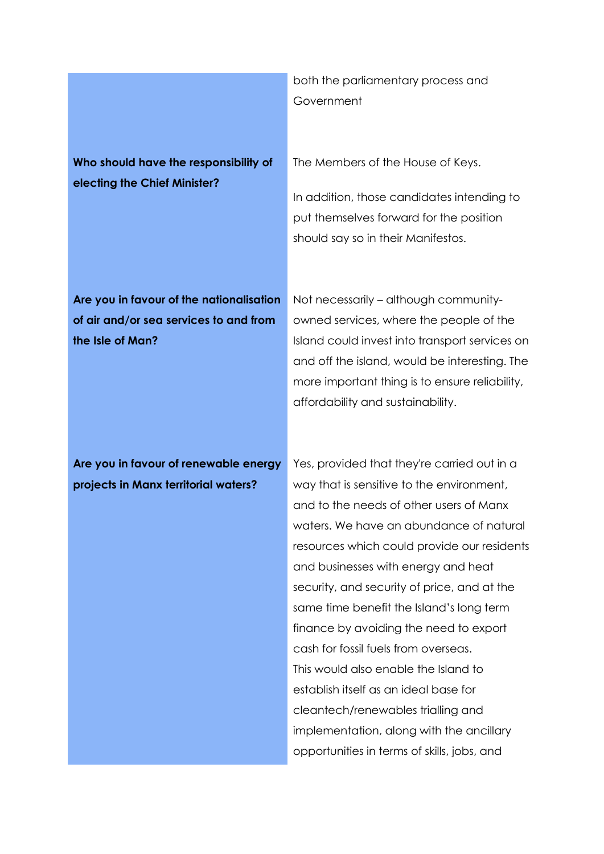**Who should have the responsibility of electing the Chief Minister?**

both the parliamentary process and Government

The Members of the House of Keys.

In addition, those candidates intending to put themselves forward for the position should say so in their Manifestos.

**Are you in favour of the nationalisation of air and/or sea services to and from the Isle of Man?**

Not necessarily – although communityowned services, where the people of the Island could invest into transport services on and off the island, would be interesting. The more important thing is to ensure reliability, affordability and sustainability.

**Are you in favour of renewable energy projects in Manx territorial waters?**

Yes, provided that they're carried out in a way that is sensitive to the environment, and to the needs of other users of Manx waters. We have an abundance of natural resources which could provide our residents and businesses with energy and heat security, and security of price, and at the same time benefit the Island's long term finance by avoiding the need to export cash for fossil fuels from overseas. This would also enable the Island to establish itself as an ideal base for cleantech/renewables trialling and implementation, along with the ancillary opportunities in terms of skills, jobs, and